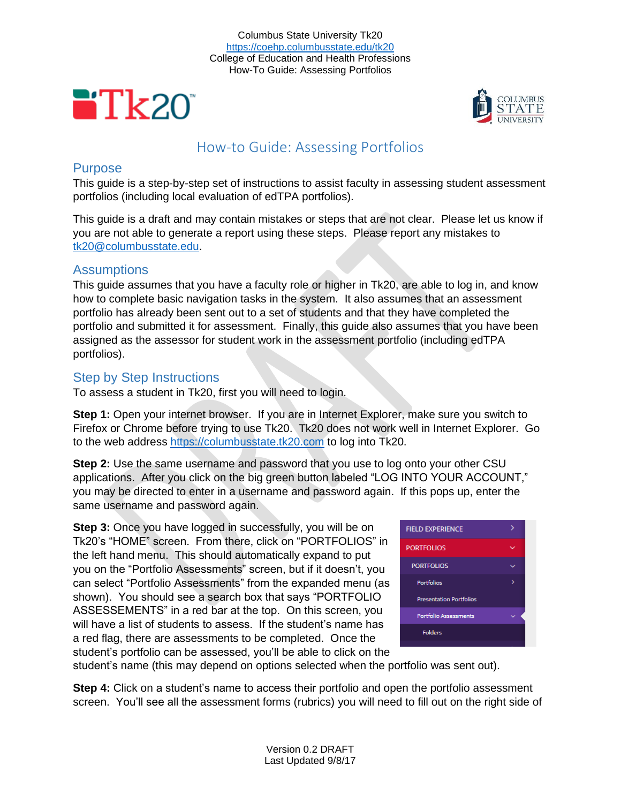



# How-to Guide: Assessing Portfolios

# **Purpose**

This guide is a step-by-step set of instructions to assist faculty in assessing student assessment portfolios (including local evaluation of edTPA portfolios).

This guide is a draft and may contain mistakes or steps that are not clear. Please let us know if you are not able to generate a report using these steps. Please report any mistakes to [tk20@columbusstate.edu.](mailto:tk20@columbusstate.edu)

# Assumptions

This guide assumes that you have a faculty role or higher in Tk20, are able to log in, and know how to complete basic navigation tasks in the system. It also assumes that an assessment portfolio has already been sent out to a set of students and that they have completed the portfolio and submitted it for assessment. Finally, this guide also assumes that you have been assigned as the assessor for student work in the assessment portfolio (including edTPA portfolios).

# Step by Step Instructions

To assess a student in Tk20, first you will need to login.

**Step 1:** Open your internet browser. If you are in Internet Explorer, make sure you switch to Firefox or Chrome before trying to use Tk20. Tk20 does not work well in Internet Explorer. Go to the web address [https://columbusstate.tk20.com](https://columbusstate.tk20.com/) to log into Tk20.

**Step 2:** Use the same username and password that you use to log onto your other CSU applications. After you click on the big green button labeled "LOG INTO YOUR ACCOUNT," you may be directed to enter in a username and password again. If this pops up, enter the same username and password again.

**Step 3:** Once you have logged in successfully, you will be on Tk20's "HOME" screen. From there, click on "PORTFOLIOS" in the left hand menu. This should automatically expand to put you on the "Portfolio Assessments" screen, but if it doesn't, you can select "Portfolio Assessments" from the expanded menu (as shown). You should see a search box that says "PORTFOLIO ASSESSEMENTS" in a red bar at the top. On this screen, you will have a list of students to assess. If the student's name has a red flag, there are assessments to be completed. Once the student's portfolio can be assessed, you'll be able to click on the



student's name (this may depend on options selected when the portfolio was sent out).

**Step 4:** Click on a student's name to access their portfolio and open the portfolio assessment screen. You'll see all the assessment forms (rubrics) you will need to fill out on the right side of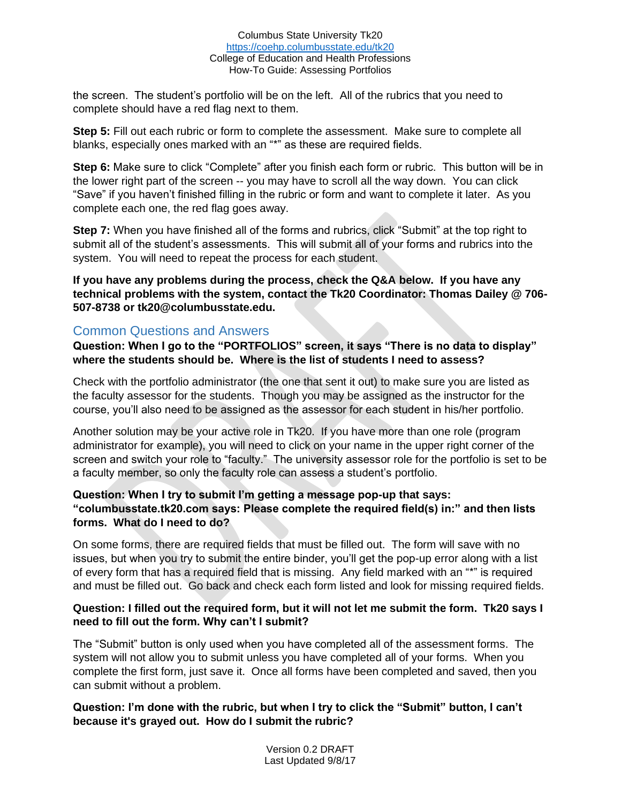#### Columbus State University Tk20 <https://coehp.columbusstate.edu/tk20> College of Education and Health Professions How-To Guide: Assessing Portfolios

the screen. The student's portfolio will be on the left. All of the rubrics that you need to complete should have a red flag next to them.

**Step 5:** Fill out each rubric or form to complete the assessment. Make sure to complete all blanks, especially ones marked with an "\*" as these are required fields.

**Step 6:** Make sure to click "Complete" after you finish each form or rubric. This button will be in the lower right part of the screen -- you may have to scroll all the way down. You can click "Save" if you haven't finished filling in the rubric or form and want to complete it later. As you complete each one, the red flag goes away.

**Step 7:** When you have finished all of the forms and rubrics, click "Submit" at the top right to submit all of the student's assessments. This will submit all of your forms and rubrics into the system. You will need to repeat the process for each student.

**If you have any problems during the process, check the Q&A below. If you have any technical problems with the system, contact the Tk20 Coordinator: Thomas Dailey @ 706- 507-8738 or tk20@columbusstate.edu.**

# Common Questions and Answers

**Question: When I go to the "PORTFOLIOS" screen, it says "There is no data to display" where the students should be. Where is the list of students I need to assess?**

Check with the portfolio administrator (the one that sent it out) to make sure you are listed as the faculty assessor for the students. Though you may be assigned as the instructor for the course, you'll also need to be assigned as the assessor for each student in his/her portfolio.

Another solution may be your active role in Tk20. If you have more than one role (program administrator for example), you will need to click on your name in the upper right corner of the screen and switch your role to "faculty." The university assessor role for the portfolio is set to be a faculty member, so only the faculty role can assess a student's portfolio.

## **Question: When I try to submit I'm getting a message pop-up that says: "columbusstate.tk20.com says: Please complete the required field(s) in:" and then lists forms. What do I need to do?**

On some forms, there are required fields that must be filled out. The form will save with no issues, but when you try to submit the entire binder, you'll get the pop-up error along with a list of every form that has a required field that is missing. Any field marked with an "\*" is required and must be filled out. Go back and check each form listed and look for missing required fields.

## **Question: I filled out the required form, but it will not let me submit the form. Tk20 says I need to fill out the form. Why can't I submit?**

The "Submit" button is only used when you have completed all of the assessment forms. The system will not allow you to submit unless you have completed all of your forms. When you complete the first form, just save it. Once all forms have been completed and saved, then you can submit without a problem.

## **Question: I'm done with the rubric, but when I try to click the "Submit" button, I can't because it's grayed out. How do I submit the rubric?**